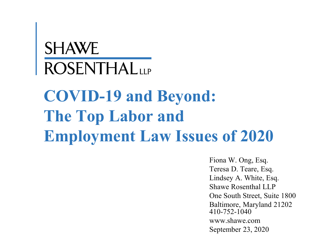# **SHAWE**<br>ROSENTHALLLP **COVID-19 and Beyond: The Top Labor and Employment Law Issues of 2020**

Fiona W. Ong, Esq. Teresa D. Teare, Esq. Lindsey A. White, Esq. Shawe Rosenthal LLP One South Street, Suite 1800 Baltimore, Maryland 21202 410-752-1040 www.shawe.com September 23, 2020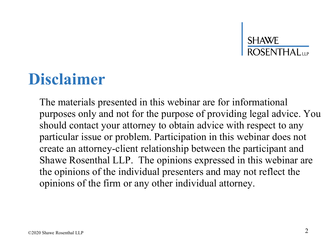#### **Disclaimer**

The materials presented in this webinar are for informational purposes only and not for the purpose of providing legal advice. You should contact your attorney to obtain advice with respect to any particular issue or problem. Participation in this webinar does not create an attorney-client relationship between the participant and Shawe Rosenthal LLP. The opinions expressed in this webinar are the opinions of the individual presenters and may not reflect the opinions of the firm or any other individual attorney.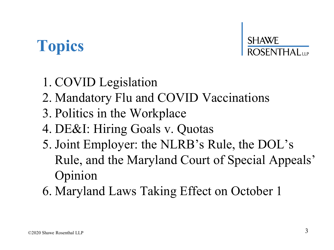### **Topics**



- 1. COVID Legislation
- 2. Mandatory Flu and COVID Vaccinations
- 3. Politics in the Workplace
- 4. DE&I: Hiring Goals v. Quotas
- 5. Joint Employer: the NLRB's Rule, the DOL's Rule, and the Maryland Court of Special Appeals' Opinion
- 6. Maryland Laws Taking Effect on October 1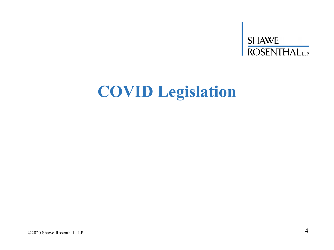# SHAWE<br>ROSENTHALLLP

### **COVID Legislation**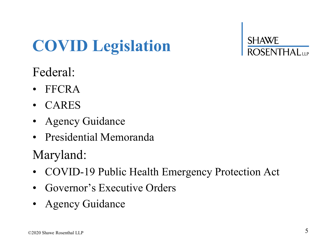### **COVID Legislation**

**SHAWE** 

#### Federal:

- FFCRA
- CARES
- Agency Guidance
- Presidential Memoranda

#### Maryland:

- COVID-19 Public Health Emergency Protection Act
- Governor's Executive Orders
- Agency Guidance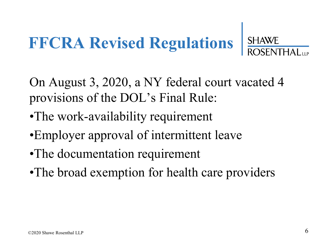#### **FFCRA Revised Regulations SHAWE**

On August 3, 2020, a NY federal court vacated 4 provisions of the DOL's Final Rule:

- •The work-availability requirement
- •Employer approval of intermittent leave
- •The documentation requirement
- •The broad exemption for health care providers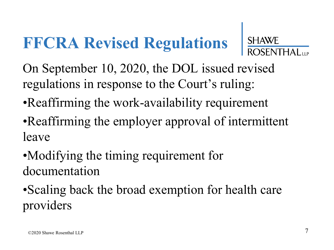### **FFCRA Revised Regulations**



On September 10, 2020, the DOL issued revised regulations in response to the Court's ruling:

- •Reaffirming the work-availability requirement
- •Reaffirming the employer approval of intermittent leave
- •Modifying the timing requirement for documentation
- •Scaling back the broad exemption for health care providers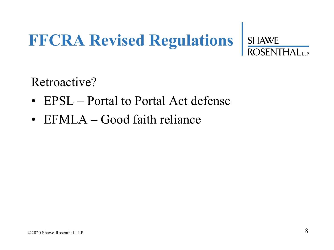# **FFCRA Revised Regulations**

Retroactive?

- EPSL Portal to Portal Act defense
- EFMLA Good faith reliance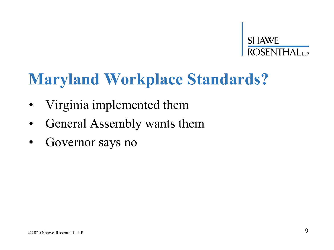# **SHAWE**<br>ROSENTHAL<sub>UP</sub>

### **Maryland Workplace Standards?**

- Virginia implemented them
- General Assembly wants them
- Governor says no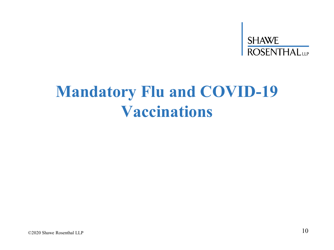### **SHAWE**<br>ROSENTHAL<sub>LLP</sub>

### **Mandatory Flu and COVID-19 Vaccinations**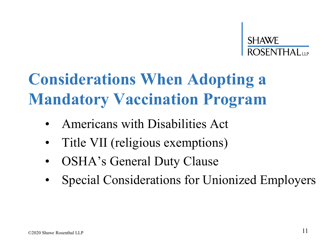### **Considerations When Adopting a Mandatory Vaccination Program**

- Americans with Disabilities Act
- Title VII (religious exemptions)
- OSHA's General Duty Clause
- Special Considerations for Unionized Employers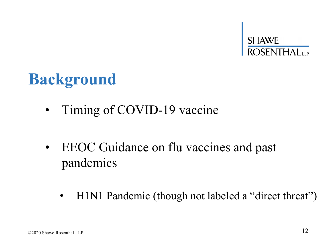

#### **Background**

- Timing of COVID-19 vaccine
- EEOC Guidance on flu vaccines and past pandemics
	- H1N1 Pandemic (though not labeled a "direct threat")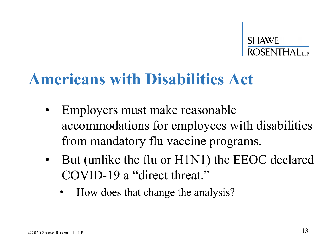

#### **Americans with Disabilities Act**

- Employers must make reasonable accommodations for employees with disabilities from mandatory flu vaccine programs.
- But (unlike the flu or H1N1) the EEOC declared COVID-19 a "direct threat."
	- How does that change the analysis?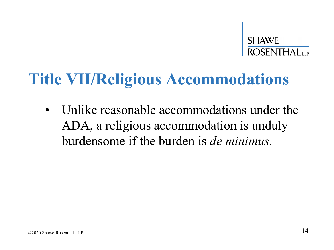

#### **Title VII/Religious Accommodations**

• Unlike reasonable accommodations under the ADA, a religious accommodation is unduly burdensome if the burden is *de minimus.*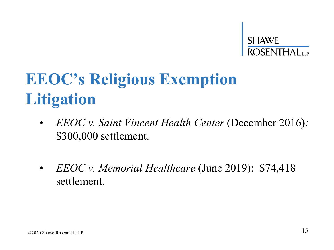

### **EEOC's Religious Exemption Litigation**

- *EEOC v. Saint Vincent Health Center* (December 2016)*:*  \$300,000 settlement.
- *EEOC v. Memorial Healthcare* (June 2019): \$74,418 settlement.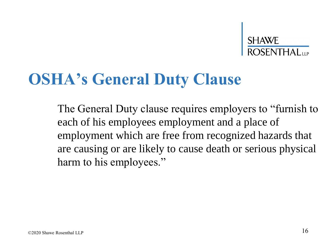#### **OSHA's General Duty Clause**

The General Duty clause requires employers to "furnish to each of his employees employment and a place of employment which are free from recognized hazards that are causing or are likely to cause death or serious physical harm to his employees."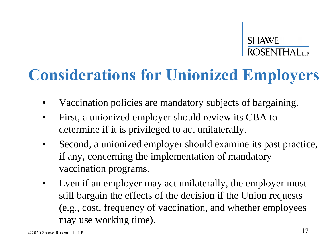# **SHAWE**<br>ROSENTHAL<sub>UP</sub>

### **Considerations for Unionized Employers**

- Vaccination policies are mandatory subjects of bargaining.
- First, a unionized employer should review its CBA to determine if it is privileged to act unilaterally.
- Second, a unionized employer should examine its past practice, if any, concerning the implementation of mandatory vaccination programs.
- Even if an employer may act unilaterally, the employer must still bargain the effects of the decision if the Union requests (e.g., cost, frequency of vaccination, and whether employees may use working time).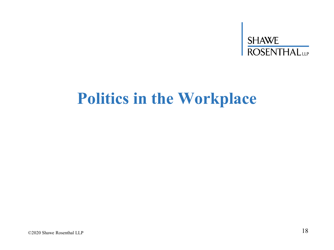# SHAWE<br>ROSENTHAL

### **Politics in the Workplace**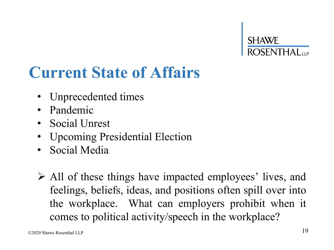### **Current State of Affairs**

- Unprecedented times
- Pandemic
- Social Unrest
- Upcoming Presidential Election
- Social Media
- ➢ All of these things have impacted employees' lives, and feelings, beliefs, ideas, and positions often spill over into the workplace. What can employers prohibit when it comes to political activity/speech in the workplace?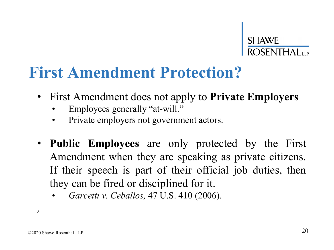#### **First Amendment Protection?**

- First Amendment does not apply to **Private Employers**
	- Employees generally "at-will."
	- Private employers not government actors.
- **Public Employees** are only protected by the First Amendment when they are speaking as private citizens. If their speech is part of their official job duties, then they can be fired or disciplined for it.
	- *Garcetti v. Ceballos,* 47 U.S. 410 (2006).

*,*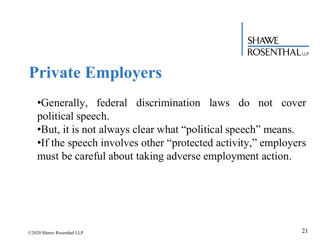### **Private Employers**

•Generally, federal discrimination laws do not cover political speech.

•But, it is not always clear what "political speech" means.

•If the speech involves other "protected activity," employers must be careful about taking adverse employment action.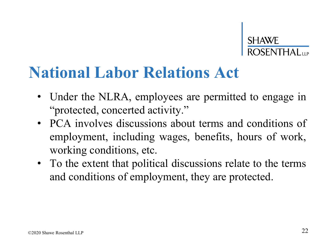#### **National Labor Relations Act**

- Under the NLRA, employees are permitted to engage in "protected, concerted activity."
- PCA involves discussions about terms and conditions of employment, including wages, benefits, hours of work, working conditions, etc.
- To the extent that political discussions relate to the terms and conditions of employment, they are protected.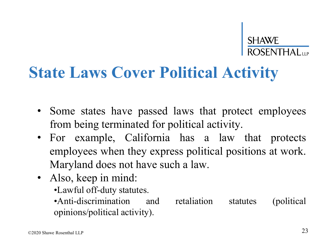### **State Laws Cover Political Activity**

- Some states have passed laws that protect employees from being terminated for political activity.
- For example, California has a law that protects employees when they express political positions at work. Maryland does not have such a law.
- Also, keep in mind:
	- •Lawful off-duty statutes.
	- •Anti-discrimination and retaliation statutes (political opinions/political activity).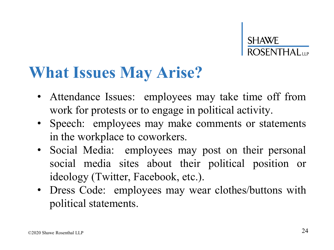#### **What Issues May Arise?**

- Attendance Issues: employees may take time off from work for protests or to engage in political activity.
- Speech: employees may make comments or statements in the workplace to coworkers.
- Social Media: employees may post on their personal social media sites about their political position or ideology (Twitter, Facebook, etc.).
- Dress Code: employees may wear clothes/buttons with political statements.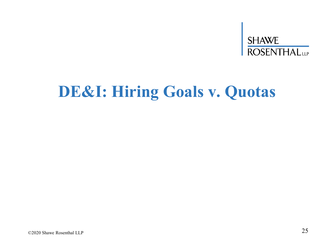# SHAWE<br>ROSENTHALLLP

### **DE&I: Hiring Goals v. Quotas**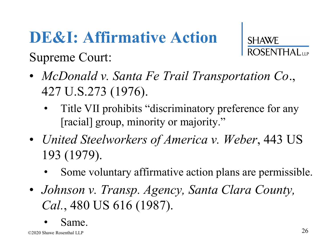### **DE&I: Affirmative Action**

**SHAWE** 

- *McDonald v. Santa Fe Trail Transportation Co*., 427 U.S.273 (1976).
	- Title VII prohibits "discriminatory preference for any [racial] group, minority or majority."
- *United Steelworkers of America v. Weber*, 443 US 193 (1979).
	- Some voluntary affirmative action plans are permissible.
- *Johnson v. Transp. Agency, Santa Clara County, Cal.*, 480 US 616 (1987).
	- Same.

Supreme Court: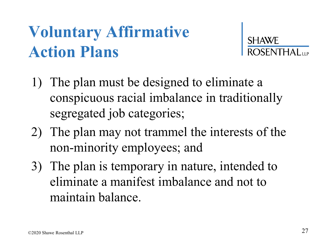### **Voluntary Affirmative Action Plans**



- 1) The plan must be designed to eliminate a conspicuous racial imbalance in traditionally segregated job categories;
- 2) The plan may not trammel the interests of the non-minority employees; and
- 3) The plan is temporary in nature, intended to eliminate a manifest imbalance and not to maintain balance.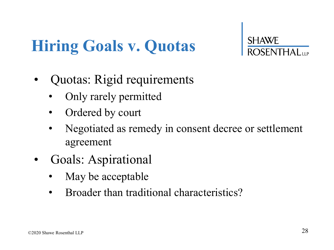### **Hiring Goals v. Quotas**

- Quotas: Rigid requirements
	- Only rarely permitted
	- Ordered by court
	- Negotiated as remedy in consent decree or settlement agreement
- Goals: Aspirational
	- May be acceptable
	- Broader than traditional characteristics?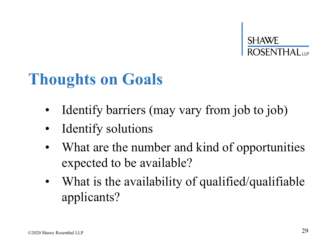#### **Thoughts on Goals**

- Identify barriers (may vary from job to job)
- Identify solutions
- What are the number and kind of opportunities expected to be available?
- What is the availability of qualified/qualifiable applicants?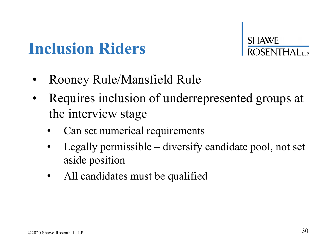### **Inclusion Riders**

SHAWE

- Rooney Rule/Mansfield Rule
- Requires inclusion of underrepresented groups at the interview stage
	- Can set numerical requirements
	- Legally permissible diversify candidate pool, not set aside position
	- All candidates must be qualified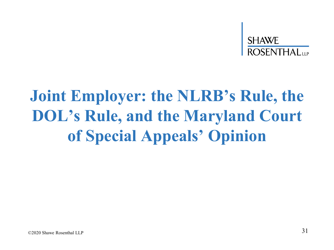### **Joint Employer: the NLRB's Rule, the DOL's Rule, and the Maryland Court of Special Appeals' Opinion**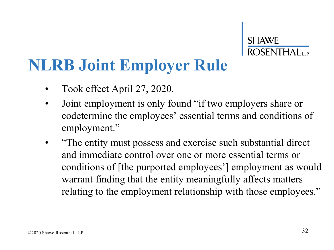# **SHAWE**<br>ROSENTHAL

#### **NLRB Joint Employer Rule**

- Took effect April 27, 2020.
- Joint employment is only found "if two employers share or codetermine the employees' essential terms and conditions of employment."
- "The entity must possess and exercise such substantial direct and immediate control over one or more essential terms or conditions of [the purported employees'] employment as would warrant finding that the entity meaningfully affects matters relating to the employment relationship with those employees."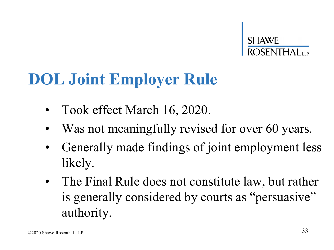

#### **DOL Joint Employer Rule**

- Took effect March 16, 2020.
- Was not meaningfully revised for over 60 years.
- Generally made findings of joint employment less likely.
- The Final Rule does not constitute law, but rather is generally considered by courts as "persuasive" authority.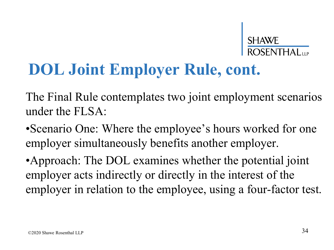### **DOL Joint Employer Rule, cont.**

The Final Rule contemplates two joint employment scenarios under the FLSA:

•Scenario One: Where the employee's hours worked for one employer simultaneously benefits another employer.

•Approach: The DOL examines whether the potential joint employer acts indirectly or directly in the interest of the employer in relation to the employee, using a four-factor test.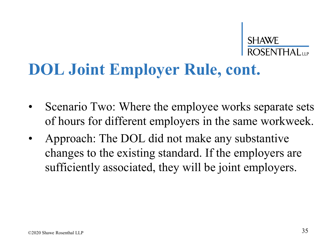#### **DOL Joint Employer Rule, cont.**

- Scenario Two: Where the employee works separate sets of hours for different employers in the same workweek.
- Approach: The DOL did not make any substantive changes to the existing standard. If the employers are sufficiently associated, they will be joint employers.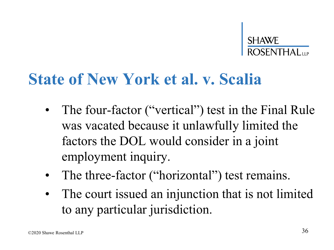

#### **State of New York et al. v. Scalia**

- The four-factor ("vertical") test in the Final Rule was vacated because it unlawfully limited the factors the DOL would consider in a joint employment inquiry.
- The three-factor ("horizontal") test remains.
- The court issued an injunction that is not limited to any particular jurisdiction.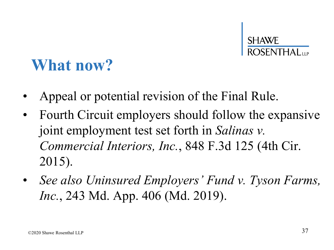### **What now?**

- Appeal or potential revision of the Final Rule.
- Fourth Circuit employers should follow the expansive joint employment test set forth in *Salinas v. Commercial Interiors, Inc.*, 848 F.3d 125 (4th Cir. 2015).
- *See also Uninsured Employers' Fund v. Tyson Farms, Inc.*, 243 Md. App. 406 (Md. 2019).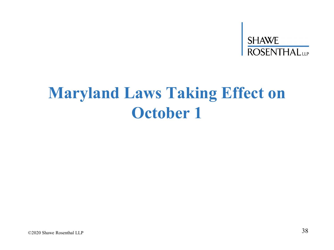# SHAWE<br>ROSENTHAL<sub>LLP</sub>

### **Maryland Laws Taking Effect on October 1**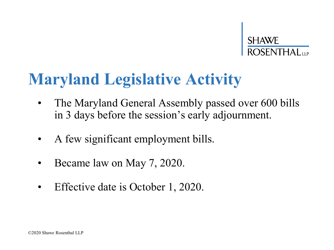### **Maryland Legislative Activity**

- The Maryland General Assembly passed over 600 bills in 3 days before the session's early adjournment.
- A few significant employment bills.
- Became law on May 7, 2020.
- Effective date is October 1, 2020.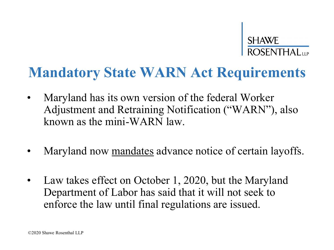#### **Mandatory State WARN Act Requirements**

- Maryland has its own version of the federal Worker Adjustment and Retraining Notification ("WARN"), also known as the mini-WARN law.
- Maryland now mandates advance notice of certain layoffs.
- Law takes effect on October 1, 2020, but the Maryland Department of Labor has said that it will not seek to enforce the law until final regulations are issued.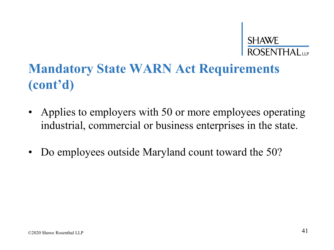# **SHAWE**<br>ROSENTHAL

#### **Mandatory State WARN Act Requirements (cont'd)**

- Applies to employers with 50 or more employees operating industrial, commercial or business enterprises in the state.
- Do employees outside Maryland count toward the 50?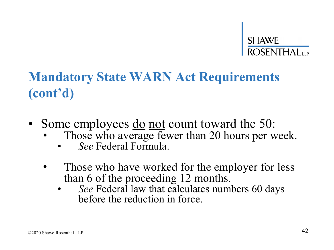#### **Mandatory State WARN Act Requirements (cont'd)**

- Some employees <u>do not</u> count toward the 50:
	- Those who average fewer than 20 hours per week.
		- *See* Federal Formula.
	- Those who have worked for the employer for less than 6 of the proceeding 12 months.
		- See Federal law that calculates numbers 60 days before the reduction in force.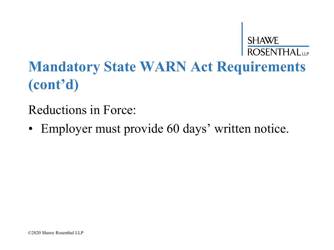SHAWE<br>ROSENTHAL

Reductions in Force:

• Employer must provide 60 days' written notice.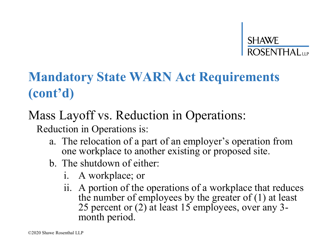#### **Mandatory State WARN Act Requirements (cont'd)**

#### Mass Layoff vs. Reduction in Operations:

Reduction in Operations is:

- a. The relocation of a part of an employer's operation from one workplace to another existing or proposed site.
- b. The shutdown of either:
	- i. A workplace; or
	- ii. A portion of the operations of a workplace that reduces the number of employees by the greater of (1) at least 25 percent or (2) at least 15 employees, over any 3 month period.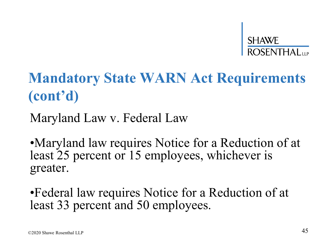

Maryland Law v. Federal Law

•Maryland law requires Notice for a Reduction of at least 25 percent or 15 employees, whichever is greater.

•Federal law requires Notice for a Reduction of at least 33 percent and 50 employees.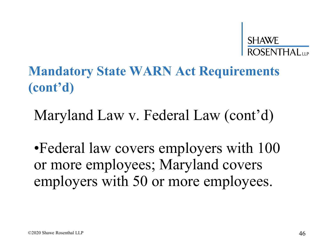

#### Maryland Law v. Federal Law (cont'd)

•Federal law covers employers with 100 or more employees; Maryland covers employers with 50 or more employees.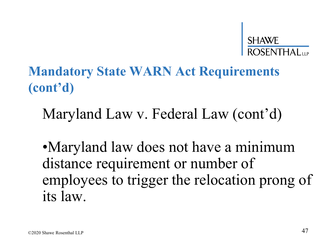

Maryland Law v. Federal Law (cont'd)

•Maryland law does not have a minimum distance requirement or number of employees to trigger the relocation prong of its law.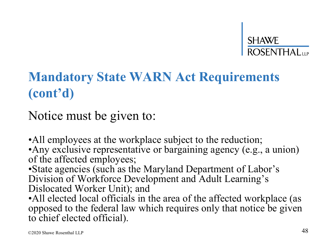

Notice must be given to:

• All employees at the workplace subject to the reduction; •Any exclusive representative or bargaining agency (e.g., a union) of the affected employees; •State agencies (such as the Maryland Department of Labor's

Division of Workforce Development and Adult Learning's Dislocated Worker Unit); and

• All elected local officials in the area of the affected workplace (as opposed to the federal law which requires only that notice be given to chief elected official).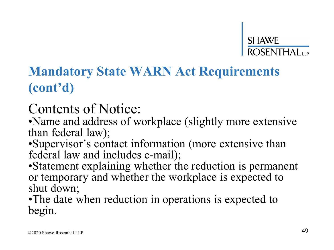#### **Mandatory State WARN Act Requirements (cont'd)**

#### Contents of Notice:

•Name and address of workplace (slightly more extensive than federal law);

•Supervisor's contact information (more extensive than federal law and includes e-mail);

•Statement explaining whether the reduction is permanent or temporary and whether the workplace is expected to shut down;

•The date when reduction in operations is expected to begin.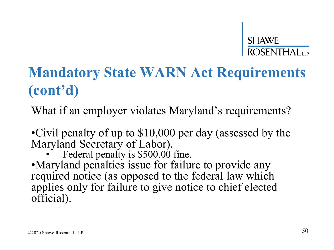#### **Mandatory State WARN Act Requirements (cont'd)**

What if an employer violates Maryland's requirements?

•Civil penalty of up to \$10,000 per day (assessed by the Maryland Secretary of Labor).

Federal penalty is \$500.00 fine.

•Maryland penalties issue for failure to provide any required notice (as opposed to the federal law which applies only for failure to give notice to chief elected official).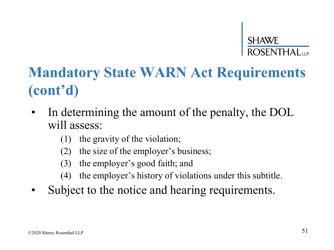#### **Mandatory State WARN Act Requirements (cont'd)**

- In determining the amount of the penalty, the DOL will assess:
	- (1) the gravity of the violation;
	- (2) the size of the employer's business;
	- (3) the employer's good faith; and
	- (4) the employer's history of violations under this subtitle.
- Subject to the notice and hearing requirements.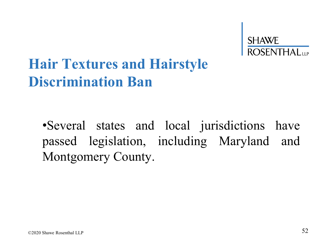#### **Hair Textures and Hairstyle Discrimination Ban**

•Several states and local jurisdictions have passed legislation, including Maryland and Montgomery County.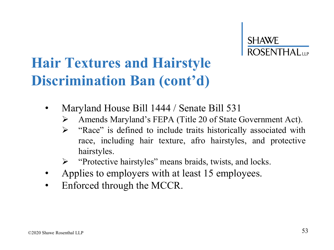#### **Hair Textures and Hairstyle Discrimination Ban (cont'd)**

- Maryland House Bill 1444 / Senate Bill 531
	- ➢ Amends Maryland's FEPA (Title 20 of State Government Act).
	- ➢ "Race" is defined to include traits historically associated with race, including hair texture, afro hairstyles, and protective hairstyles.
	- ➢ "Protective hairstyles" means braids, twists, and locks.
- Applies to employers with at least 15 employees.
- Enforced through the MCCR.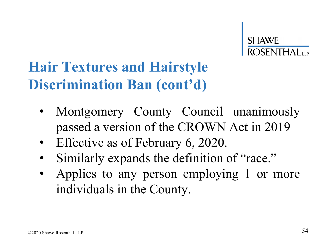#### **Hair Textures and Hairstyle Discrimination Ban (cont'd)**

- Montgomery County Council unanimously passed a version of the CROWN Act in 2019
- Effective as of February 6, 2020.
- Similarly expands the definition of "race."
- Applies to any person employing 1 or more individuals in the County.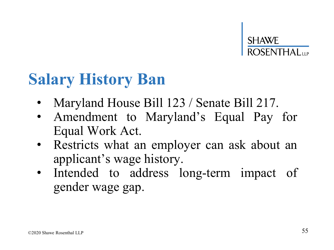### **Salary History Ban**

- Maryland House Bill 123 / Senate Bill 217.
- Amendment to Maryland's Equal Pay for Equal Work Act.
- Restricts what an employer can ask about an applicant's wage history.
- Intended to address long-term impact of gender wage gap.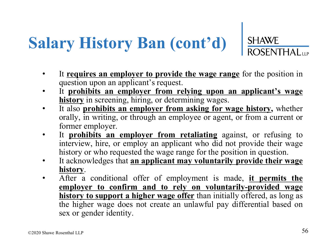# **Salary History Ban (cont'd)** SHAWE

- It **requires an employer to provide the wage range** for the position in question upon an applicant's request.
- It **prohibits an employer from relying upon an applicant's wage history** in screening, hiring, or determining wages.
- It also **prohibits an employer from asking for wage history,** whether orally, in writing, or through an employee or agent, or from a current or former employer.
- It **prohibits an employer from retaliating** against, or refusing to interview, hire, or employ an applicant who did not provide their wage history or who requested the wage range for the position in question.
- It acknowledges that **an applicant may voluntarily provide their wage history**.
- After a conditional offer of employment is made, **it permits the employer to confirm and to rely on voluntarily-provided wage history to support a higher wage offer** than initially offered, as long as the higher wage does not create an unlawful pay differential based on sex or gender identity.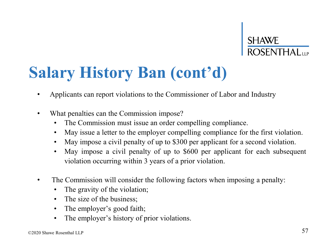# **SHAWE**<br>ROSENTHAL

### **Salary History Ban (cont'd)**

- Applicants can report violations to the Commissioner of Labor and Industry
- What penalties can the Commission impose?
	- The Commission must issue an order compelling compliance.
	- May issue a letter to the employer compelling compliance for the first violation.
	- May impose a civil penalty of up to \$300 per applicant for a second violation.
	- May impose a civil penalty of up to \$600 per applicant for each subsequent violation occurring within 3 years of a prior violation.
- The Commission will consider the following factors when imposing a penalty:
	- The gravity of the violation;
	- The size of the business;
	- The employer's good faith;
	- The employer's history of prior violations.